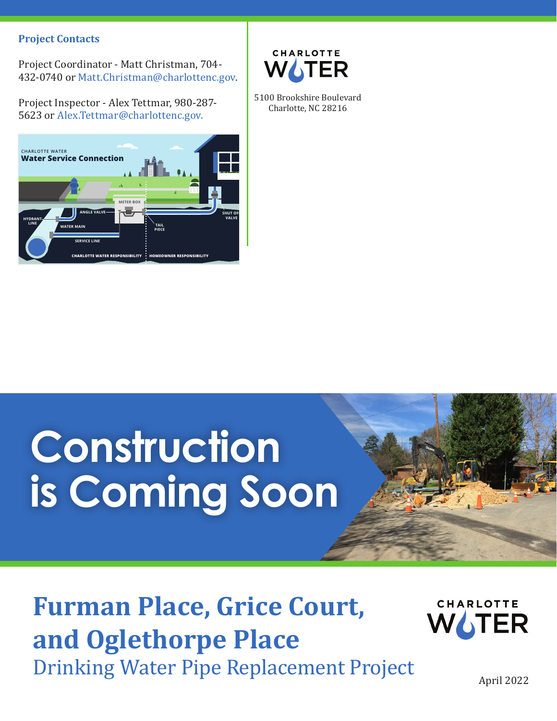#### **Project Contacts**

Project Coordinator - Matt Christman, 704- 432-0740 or Matt.Christman@charlottenc.gov.

Project Inspector - Alex Tettmar, 980-287- 5623 or Alex.Tettmar@charlottenc.gov.





5100 Brookshire Boulevard Charlotte, NC 28216

# **Construction is Coming Soon**

### **Furman Place, Grice Court, and Oglethorpe Place** Drinking Water Pipe Replacement Project



April 2022